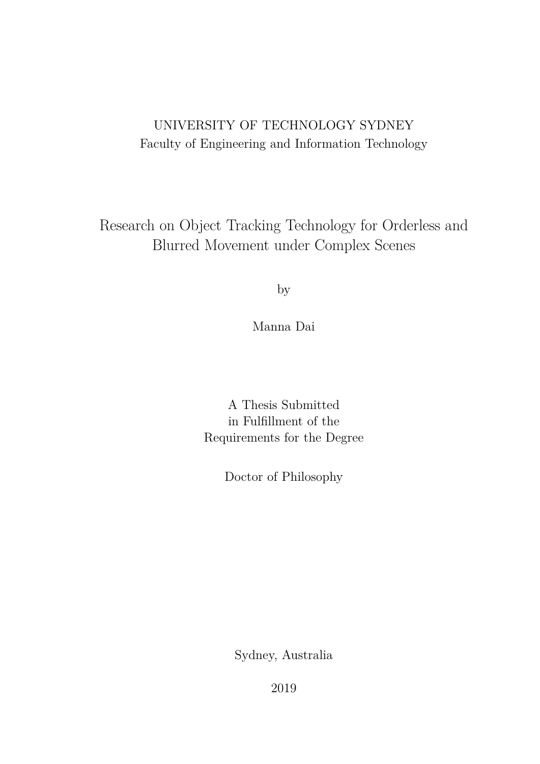## UNIVERSITY OF TECHNOLOGY SYDNEY Faculty of Engineering and Information Technology

Research on Object Tracking Technology for Orderless and Blurred Movement under Complex Scenes

by

Manna Dai

A Thesis Submitted in Fulfllment of the Requirements for the Degree

Doctor of Philosophy

Sydney, Australia

2019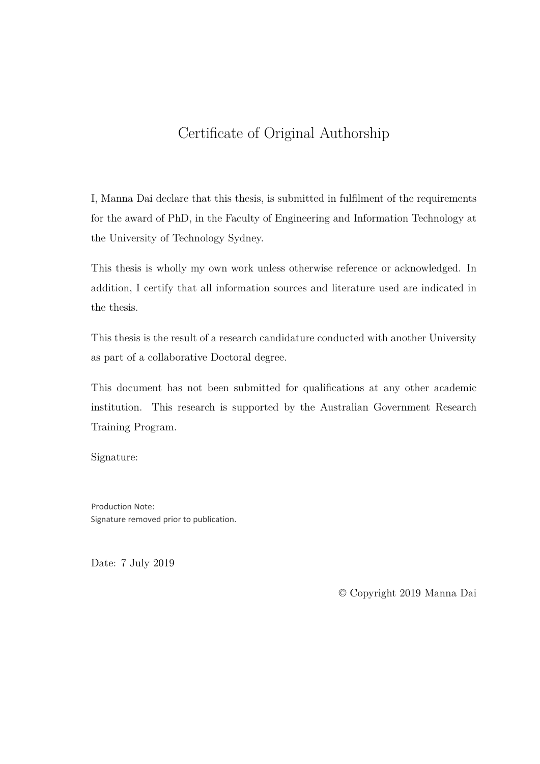## Certifcate of Original Authorship

I, Manna Dai declare that this thesis, is submitted in fulflment of the requirements for the award of PhD, in the Faculty of Engineering and Information Technology at the University of Technology Sydney.

This thesis is wholly my own work unless otherwise reference or acknowledged. In addition, I certify that all information sources and literature used are indicated in the thesis.

This thesis is the result of a research candidature conducted with another University as part of a collaborative Doctoral degree.

This document has not been submitted for qualifcations at any other academic institution. This research is supported by the Australian Government Research Training Program.

Signature:

Production Note: Signature removed prior to publication.

Date: 7 July 2019

© Copyright 2019 Manna Dai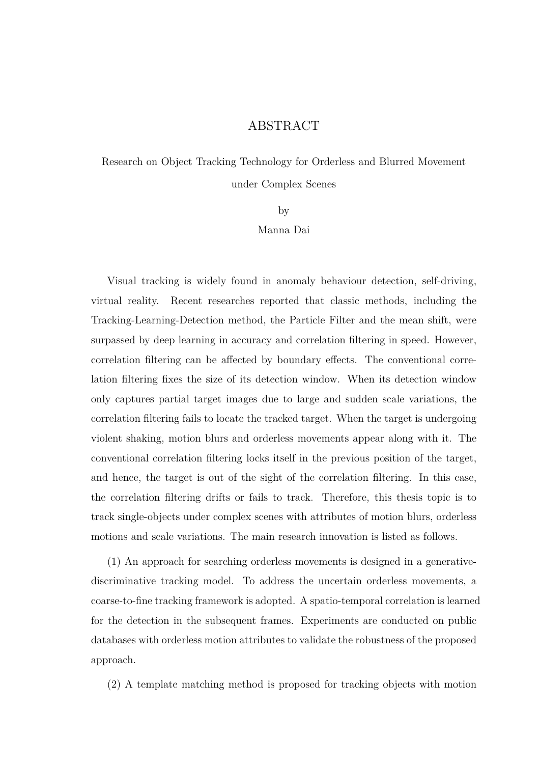#### ABSTRACT

Research on Object Tracking Technology for Orderless and Blurred Movement under Complex Scenes

by

Manna Dai

Visual tracking is widely found in anomaly behaviour detection, self-driving, virtual reality. Recent researches reported that classic methods, including the Tracking-Learning-Detection method, the Particle Filter and the mean shift, were surpassed by deep learning in accuracy and correlation fltering in speed. However, correlation fltering can be afected by boundary efects. The conventional correlation fltering fxes the size of its detection window. When its detection window only captures partial target images due to large and sudden scale variations, the correlation fltering fails to locate the tracked target. When the target is undergoing violent shaking, motion blurs and orderless movements appear along with it. The conventional correlation fltering locks itself in the previous position of the target, and hence, the target is out of the sight of the correlation fltering. In this case, the correlation fltering drifts or fails to track. Therefore, this thesis topic is to track single-objects under complex scenes with attributes of motion blurs, orderless motions and scale variations. The main research innovation is listed as follows.

(1) An approach for searching orderless movements is designed in a generativediscriminative tracking model. To address the uncertain orderless movements, a coarse-to-fne tracking framework is adopted. A spatio-temporal correlation is learned for the detection in the subsequent frames. Experiments are conducted on public databases with orderless motion attributes to validate the robustness of the proposed approach.

(2) A template matching method is proposed for tracking objects with motion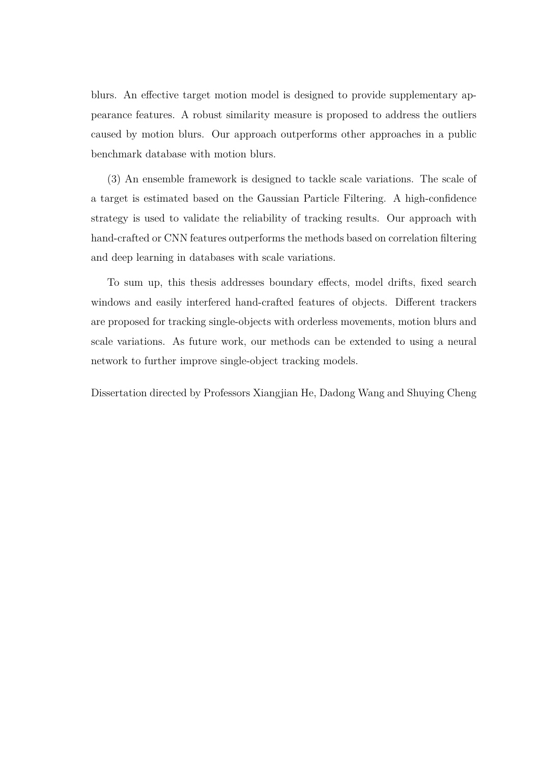blurs. An efective target motion model is designed to provide supplementary appearance features. A robust similarity measure is proposed to address the outliers caused by motion blurs. Our approach outperforms other approaches in a public benchmark database with motion blurs.

(3) An ensemble framework is designed to tackle scale variations. The scale of a target is estimated based on the Gaussian Particle Filtering. A high-confdence strategy is used to validate the reliability of tracking results. Our approach with hand-crafted or CNN features outperforms the methods based on correlation fltering and deep learning in databases with scale variations.

To sum up, this thesis addresses boundary efects, model drifts, fxed search windows and easily interfered hand-crafted features of objects. Diferent trackers are proposed for tracking single-objects with orderless movements, motion blurs and scale variations. As future work, our methods can be extended to using a neural network to further improve single-object tracking models.

Dissertation directed by Professors Xiangjian He, Dadong Wang and Shuying Cheng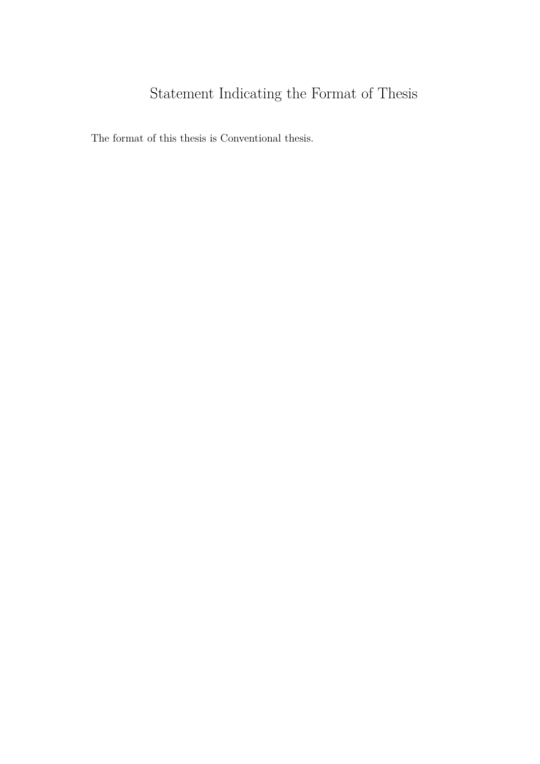# Statement Indicating the Format of Thesis

The format of this thesis is Conventional thesis.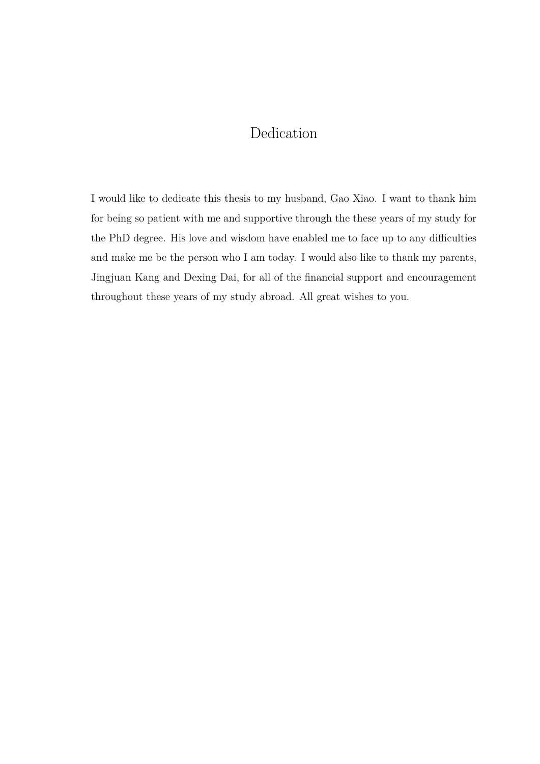## Dedication

I would like to dedicate this thesis to my husband, Gao Xiao. I want to thank him for being so patient with me and supportive through the these years of my study for the PhD degree. His love and wisdom have enabled me to face up to any difficulties and make me be the person who I am today. I would also like to thank my parents, Jingjuan Kang and Dexing Dai, for all of the fnancial support and encouragement throughout these years of my study abroad. All great wishes to you.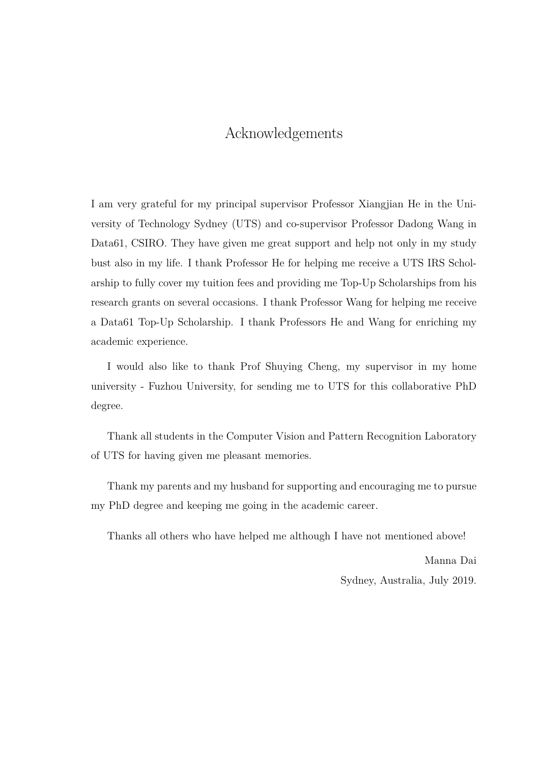### Acknowledgements

I am very grateful for my principal supervisor Professor Xiangjian He in the University of Technology Sydney (UTS) and co-supervisor Professor Dadong Wang in Data61, CSIRO. They have given me great support and help not only in my study bust also in my life. I thank Professor He for helping me receive a UTS IRS Scholarship to fully cover my tuition fees and providing me Top-Up Scholarships from his research grants on several occasions. I thank Professor Wang for helping me receive a Data61 Top-Up Scholarship. I thank Professors He and Wang for enriching my academic experience.

I would also like to thank Prof Shuying Cheng, my supervisor in my home university - Fuzhou University, for sending me to UTS for this collaborative PhD degree.

Thank all students in the Computer Vision and Pattern Recognition Laboratory of UTS for having given me pleasant memories.

Thank my parents and my husband for supporting and encouraging me to pursue my PhD degree and keeping me going in the academic career.

Thanks all others who have helped me although I have not mentioned above!

Manna Dai Sydney, Australia, July 2019.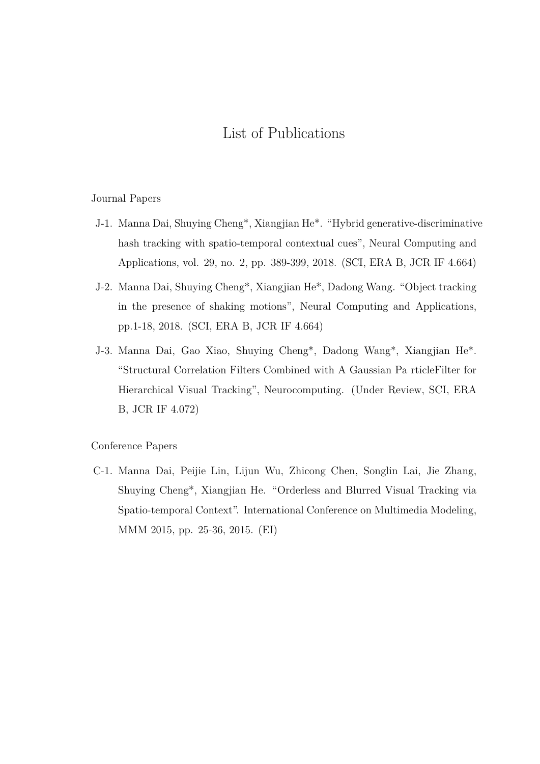## List of Publications

#### Journal Papers

- J-1. Manna Dai, Shuying Cheng\*, Xiangjian He\*. "Hybrid generative-discriminative hash tracking with spatio-temporal contextual cues", Neural Computing and Applications, vol. 29, no. 2, pp. 389-399, 2018. (SCI, ERA B, JCR IF 4.664)
- J-2. Manna Dai, Shuying Cheng\*, Xiangjian He\*, Dadong Wang. "Object tracking in the presence of shaking motions", Neural Computing and Applications, pp.1-18, 2018. (SCI, ERA B, JCR IF 4.664)
- J-3. Manna Dai, Gao Xiao, Shuying Cheng\*, Dadong Wang\*, Xiangjian He\*. "Structural Correlation Filters Combined with A Gaussian Pa rticleFilter for Hierarchical Visual Tracking", Neurocomputing. (Under Review, SCI, ERA B, JCR IF 4.072)

#### Conference Papers

C-1. Manna Dai, Peijie Lin, Lijun Wu, Zhicong Chen, Songlin Lai, Jie Zhang, Shuying Cheng\*, Xiangjian He. "Orderless and Blurred Visual Tracking via Spatio-temporal Context". International Conference on Multimedia Modeling, MMM 2015, pp. 25-36, 2015. (EI)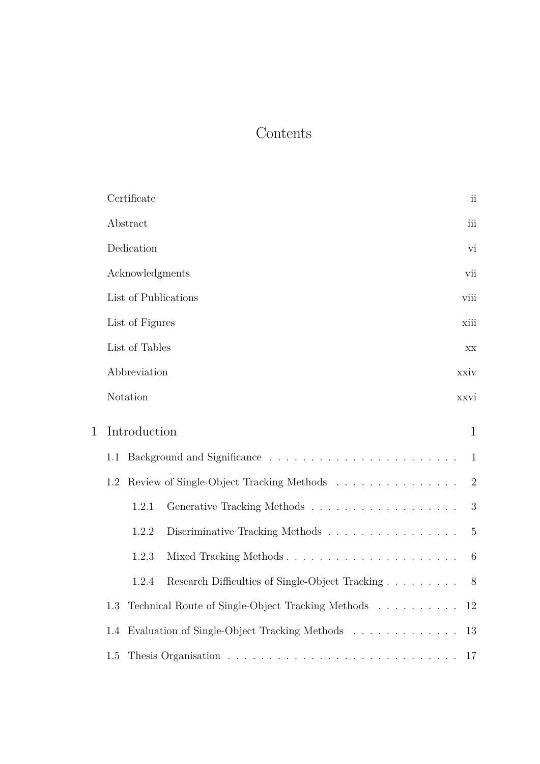## Contents

|              | Certificate                                              | $\overline{\mathbf{u}}$ |
|--------------|----------------------------------------------------------|-------------------------|
|              | Abstract                                                 | iii                     |
|              | Dedication                                               | vi                      |
|              | Acknowledgments                                          | vii                     |
|              | List of Publications                                     | viii                    |
|              | List of Figures                                          | xiii                    |
|              | List of Tables                                           | XX                      |
|              | Abbreviation                                             | xxiv                    |
|              | Notation                                                 | xxvi                    |
| $\mathbf{1}$ | Introduction                                             | $\mathbf{1}$            |
|              | 1.1                                                      | $\mathbf{1}$            |
|              | Review of Single-Object Tracking Methods<br>1.2          | $\overline{2}$          |
|              | Generative Tracking Methods<br>1.2.1                     | 3                       |
|              | 1.2.2<br>Discriminative Tracking Methods                 | $\overline{5}$          |
|              | Mixed Tracking Methods<br>1.2.3                          | 6                       |
|              | Research Difficulties of Single-Object Tracking<br>1.2.4 | 8                       |
|              | Technical Route of Single-Object Tracking Methods<br>1.3 | 12                      |
|              | Evaluation of Single-Object Tracking Methods<br>1.4      | 13                      |
|              | 1.5                                                      | 17                      |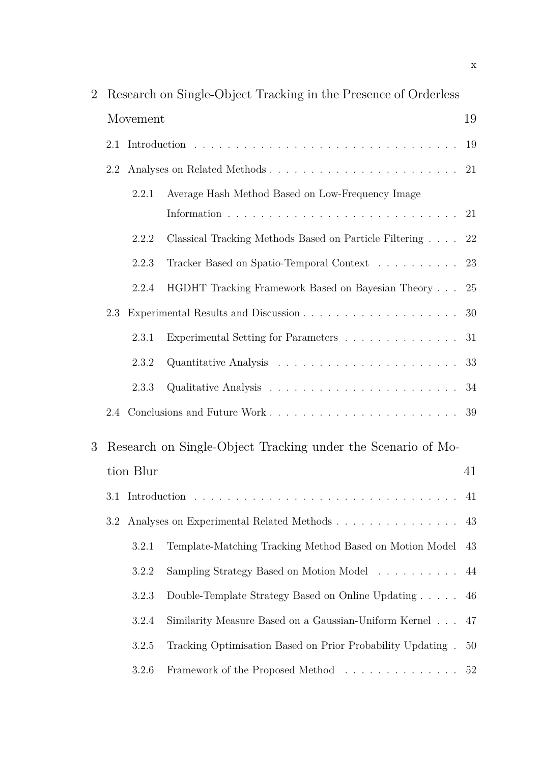| $\overline{2}$ |     |           | Research on Single-Object Tracking in the Presence of Orderless |    |
|----------------|-----|-----------|-----------------------------------------------------------------|----|
|                |     | Movement  |                                                                 | 19 |
|                |     |           |                                                                 | 19 |
|                | 2.2 |           |                                                                 |    |
|                |     | 2.2.1     | Average Hash Method Based on Low-Frequency Image                |    |
|                |     | 2.2.2     | Classical Tracking Methods Based on Particle Filtering 22       |    |
|                |     | 2.2.3     | Tracker Based on Spatio-Temporal Context 23                     |    |
|                |     | 2.2.4     | HGDHT Tracking Framework Based on Bayesian Theory               | 25 |
|                | 2.3 |           |                                                                 | 30 |
|                |     | 2.3.1     | Experimental Setting for Parameters 31                          |    |
|                |     | 2.3.2     |                                                                 | 33 |
|                |     | 2.3.3     |                                                                 |    |
|                |     |           |                                                                 |    |
| 3              |     |           | Research on Single-Object Tracking under the Scenario of Mo-    |    |
|                |     | tion Blur |                                                                 | 41 |
|                |     |           |                                                                 |    |
|                | 3.2 |           |                                                                 | 43 |
|                |     | 3.2.1     | Template-Matching Tracking Method Based on Motion Model         | 43 |
|                |     | 3.2.2     | Sampling Strategy Based on Motion Model                         | 44 |
|                |     | 3.2.3     | Double-Template Strategy Based on Online Updating               | 46 |
|                |     | 3.2.4     | Similarity Measure Based on a Gaussian-Uniform Kernel           | 47 |
|                |     | 3.2.5     | Tracking Optimisation Based on Prior Probability Updating.      | 50 |
|                |     | 3.2.6     | Framework of the Proposed Method 52                             |    |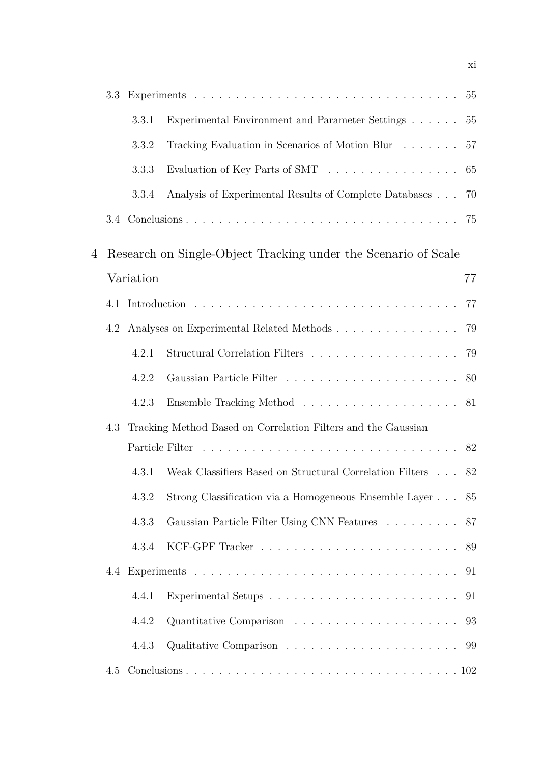|   | 3.3 |           |                                                                 |    |
|---|-----|-----------|-----------------------------------------------------------------|----|
|   |     | 3.3.1     | Experimental Environment and Parameter Settings                 | 55 |
|   |     | 3.3.2     | Tracking Evaluation in Scenarios of Motion Blur $\ldots \ldots$ | 57 |
|   |     | 3.3.3     | Evaluation of Key Parts of SMT                                  | 65 |
|   |     | 3.3.4     | Analysis of Experimental Results of Complete Databases 70       |    |
|   |     |           |                                                                 |    |
| 4 |     |           | Research on Single-Object Tracking under the Scenario of Scale  |    |
|   |     | Variation |                                                                 | 77 |
|   | 4.1 |           |                                                                 | 77 |
|   | 4.2 |           |                                                                 | 79 |
|   |     | 4.2.1     |                                                                 | 79 |
|   |     | 4.2.2     |                                                                 |    |
|   |     | 4.2.3     |                                                                 | 81 |
|   | 4.3 |           | Tracking Method Based on Correlation Filters and the Gaussian   |    |
|   |     |           |                                                                 |    |
|   |     | 4.3.1     | Weak Classifiers Based on Structural Correlation Filters        | 82 |
|   |     | 4.3.2     | Strong Classification via a Homogeneous Ensemble Layer 85       |    |
|   |     | 4.3.3     | Gaussian Particle Filter Using CNN Features 87                  |    |
|   |     | 4.3.4     |                                                                 |    |
|   | 4.4 |           |                                                                 | 91 |
|   |     | 4.4.1     |                                                                 |    |
|   |     | 4.4.2     |                                                                 |    |
|   |     | 4.4.3     |                                                                 |    |
|   | 4.5 |           |                                                                 |    |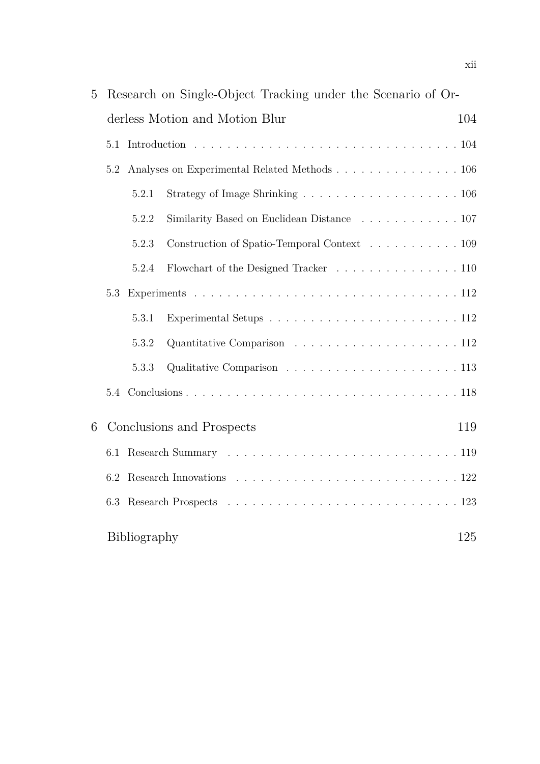| 5 |     |              | Research on Single-Object Tracking under the Scenario of Or- |     |
|---|-----|--------------|--------------------------------------------------------------|-----|
|   |     |              | derless Motion and Motion Blur                               | 104 |
|   | 5.1 |              |                                                              |     |
|   | 5.2 |              | Analyses on Experimental Related Methods 106                 |     |
|   |     | 5.2.1        |                                                              |     |
|   |     | 5.2.2        | Similarity Based on Euclidean Distance 107                   |     |
|   |     | 5.2.3        | Construction of Spatio-Temporal Context 109                  |     |
|   |     | 5.2.4        | Flowchart of the Designed Tracker 110                        |     |
|   | 5.3 |              |                                                              |     |
|   |     | 5.3.1        |                                                              |     |
|   |     | 5.3.2        |                                                              |     |
|   |     | 5.3.3        |                                                              |     |
|   | 5.4 |              |                                                              |     |
| 6 |     |              | Conclusions and Prospects                                    | 119 |
|   | 6.1 |              |                                                              |     |
|   | 6.2 |              |                                                              |     |
|   | 6.3 |              |                                                              |     |
|   |     | Bibliography |                                                              | 125 |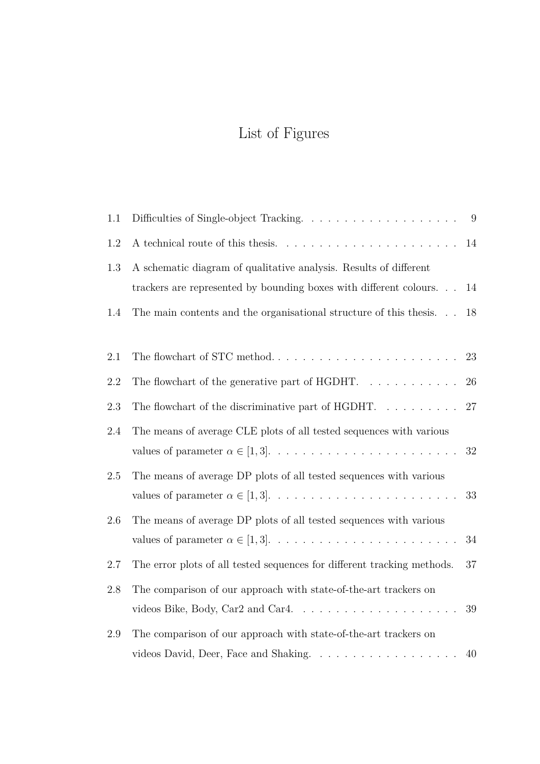# List of Figures

| 1.1     |                                                                                                   | - 9    |
|---------|---------------------------------------------------------------------------------------------------|--------|
| 1.2     |                                                                                                   | 14     |
| 1.3     | A schematic diagram of qualitative analysis. Results of different                                 |        |
|         | trackers are represented by bounding boxes with different colours                                 | 14     |
| 1.4     | The main contents and the organisational structure of this thesis                                 | 18     |
|         |                                                                                                   |        |
| 2.1     | The flowchart of STC method. $\dots \dots \dots \dots \dots \dots \dots \dots \dots$              | 23     |
| 2.2     | The flowchart of the generative part of HGDHT. $\dots \dots \dots$                                | 26     |
| 2.3     | The flowchart of the discriminative part of HGDHT. $\dots \dots \dots$                            | 27     |
| 2.4     | The means of average CLE plots of all tested sequences with various                               |        |
|         |                                                                                                   | $32\,$ |
| $2.5\,$ | The means of average DP plots of all tested sequences with various                                |        |
|         |                                                                                                   | 33     |
| 2.6     | The means of average DP plots of all tested sequences with various                                |        |
|         |                                                                                                   | 34     |
| 2.7     | The error plots of all tested sequences for different tracking methods.                           | $37\,$ |
| 2.8     | The comparison of our approach with state-of-the-art trackers on                                  |        |
|         | videos Bike, Body, Car<br>2 and Car<br>4. $\dots \dots \dots \dots \dots \dots \dots \dots \dots$ | 39     |
| 2.9     | The comparison of our approach with state-of-the-art trackers on                                  |        |
|         | videos David, Deer, Face and Shaking.                                                             | 40     |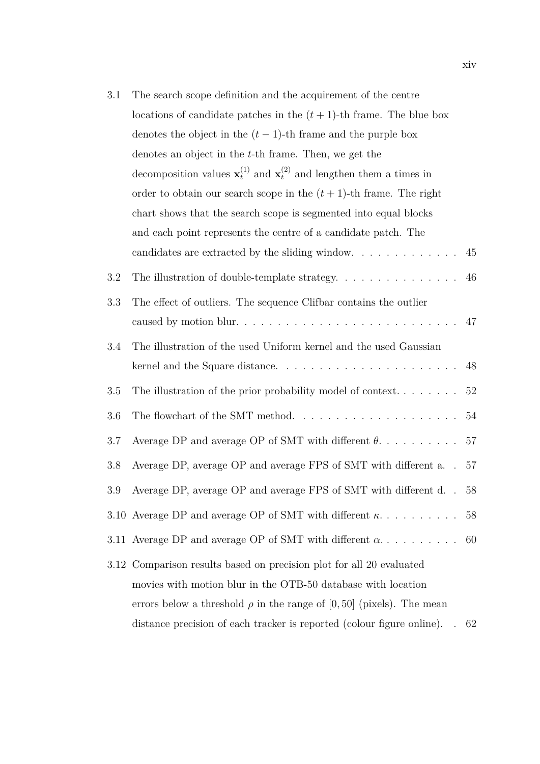| $3.1\,$ | The search scope definition and the acquirement of the centre                                   |        |
|---------|-------------------------------------------------------------------------------------------------|--------|
|         | locations of candidate patches in the $(t + 1)$ -th frame. The blue box                         |        |
|         | denotes the object in the $(t-1)$ -th frame and the purple box                                  |        |
|         | denotes an object in the t-th frame. Then, we get the                                           |        |
|         | decomposition values $\mathbf{x}_t^{(1)}$ and $\mathbf{x}_t^{(2)}$ and lengthen them a times in |        |
|         | order to obtain our search scope in the $(t + 1)$ -th frame. The right                          |        |
|         | chart shows that the search scope is segmented into equal blocks                                |        |
|         | and each point represents the centre of a candidate patch. The                                  |        |
|         |                                                                                                 | 45     |
| 3.2     |                                                                                                 | 46     |
| 3.3     | The effect of outliers. The sequence Clifbar contains the outlier                               |        |
|         |                                                                                                 | 47     |
| 3.4     | The illustration of the used Uniform kernel and the used Gaussian                               |        |
|         |                                                                                                 | 48     |
| 3.5     | The illustration of the prior probability model of context                                      | $52\,$ |
| 3.6     | The flowchart of the SMT method. $\ldots \ldots \ldots \ldots \ldots \ldots \ldots$             | 54     |
| 3.7     | Average DP and average OP of SMT with different $\theta.$                                       | 57     |
| 3.8     | Average DP, average OP and average FPS of SMT with different a                                  | 57     |
| 3.9     | Average DP, average OP and average FPS of SMT with different d                                  | 58     |
|         | 3.10 Average DP and average OP of SMT with different $\kappa$                                   | 58     |
|         | 3.11 Average DP and average OP of SMT with different $\alpha$                                   | 60     |
|         | 3.12 Comparison results based on precision plot for all 20 evaluated                            |        |
|         | movies with motion blur in the OTB-50 database with location                                    |        |
|         | errors below a threshold $\rho$ in the range of [0, 50] (pixels). The mean                      |        |
|         | distance precision of each tracker is reported (colour figure online).                          | 62     |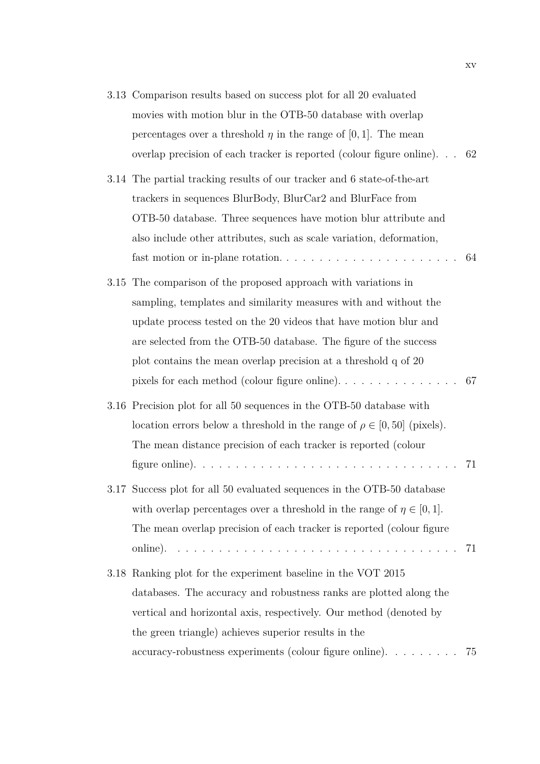|  | 3.13 Comparison results based on success plot for all 20 evaluated             |     |
|--|--------------------------------------------------------------------------------|-----|
|  | movies with motion blur in the OTB-50 database with overlap                    |     |
|  | percentages over a threshold $\eta$ in the range of [0, 1]. The mean           |     |
|  | overlap precision of each tracker is reported (colour figure online)           | -62 |
|  | 3.14 The partial tracking results of our tracker and 6 state-of-the-art        |     |
|  | trackers in sequences BlurBody, BlurCar2 and BlurFace from                     |     |
|  | OTB-50 database. Three sequences have motion blur attribute and                |     |
|  | also include other attributes, such as scale variation, deformation,           |     |
|  |                                                                                | 64  |
|  | 3.15 The comparison of the proposed approach with variations in                |     |
|  | sampling, templates and similarity measures with and without the               |     |
|  | update process tested on the 20 videos that have motion blur and               |     |
|  | are selected from the OTB-50 database. The figure of the success               |     |
|  | plot contains the mean overlap precision at a threshold q of 20                |     |
|  |                                                                                | -67 |
|  | 3.16 Precision plot for all 50 sequences in the OTB-50 database with           |     |
|  | location errors below a threshold in the range of $\rho \in [0, 50]$ (pixels). |     |
|  | The mean distance precision of each tracker is reported (colour                |     |
|  |                                                                                | 71  |
|  | 3.17 Success plot for all 50 evaluated sequences in the OTB-50 database        |     |
|  | with overlap percentages over a threshold in the range of $\eta \in [0,1]$ .   |     |
|  | The mean overlap precision of each tracker is reported (colour figure          |     |
|  |                                                                                |     |
|  | 3.18 Ranking plot for the experiment baseline in the VOT 2015                  |     |
|  | databases. The accuracy and robustness ranks are plotted along the             |     |
|  | vertical and horizontal axis, respectively. Our method (denoted by             |     |
|  | the green triangle) achieves superior results in the                           |     |
|  | accuracy-robustness experiments (colour figure online). 75                     |     |
|  |                                                                                |     |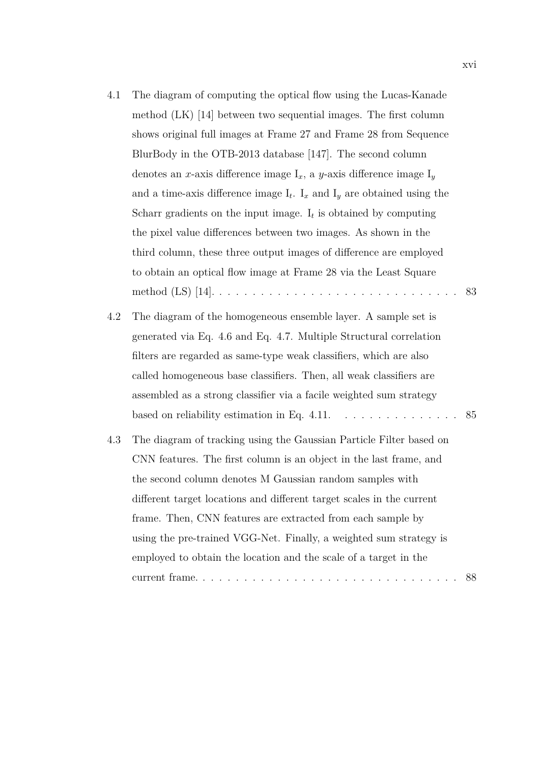| 4.1 | The diagram of computing the optical flow using the Lucas-Kanade                |    |
|-----|---------------------------------------------------------------------------------|----|
|     | method $(LK)$ [14] between two sequential images. The first column              |    |
|     | shows original full images at Frame 27 and Frame 28 from Sequence               |    |
|     | BlurBody in the OTB-2013 database [147]. The second column                      |    |
|     | denotes an x-axis difference image $I_x$ , a y-axis difference image $I_y$      |    |
|     | and a time-axis difference image $I_t$ . $I_x$ and $I_y$ are obtained using the |    |
|     | Scharr gradients on the input image. $I_t$ is obtained by computing             |    |
|     | the pixel value differences between two images. As shown in the                 |    |
|     | third column, these three output images of difference are employed              |    |
|     | to obtain an optical flow image at Frame 28 via the Least Square                |    |
|     |                                                                                 | 83 |
| 4.2 | The diagram of the homogeneous ensemble layer. A sample set is                  |    |
|     | generated via Eq. 4.6 and Eq. 4.7. Multiple Structural correlation              |    |
|     | filters are regarded as same-type weak classifiers, which are also              |    |
|     | called homogeneous base classifiers. Then, all weak classifiers are             |    |
|     | assembled as a strong classifier via a facile weighted sum strategy             |    |
|     | based on reliability estimation in Eq. 4.11. $\dots \dots \dots \dots \dots$    | 85 |
| 4.3 | The diagram of tracking using the Gaussian Particle Filter based on             |    |
|     | CNN features. The first column is an object in the last frame, and              |    |
|     | the second column denotes M Gaussian random samples with                        |    |
|     | different target locations and different target scales in the current           |    |
|     | frame. Then, CNN features are extracted from each sample by                     |    |
|     | using the pre-trained VGG-Net. Finally, a weighted sum strategy is              |    |
|     | employed to obtain the location and the scale of a target in the                |    |
|     | current frame                                                                   | 88 |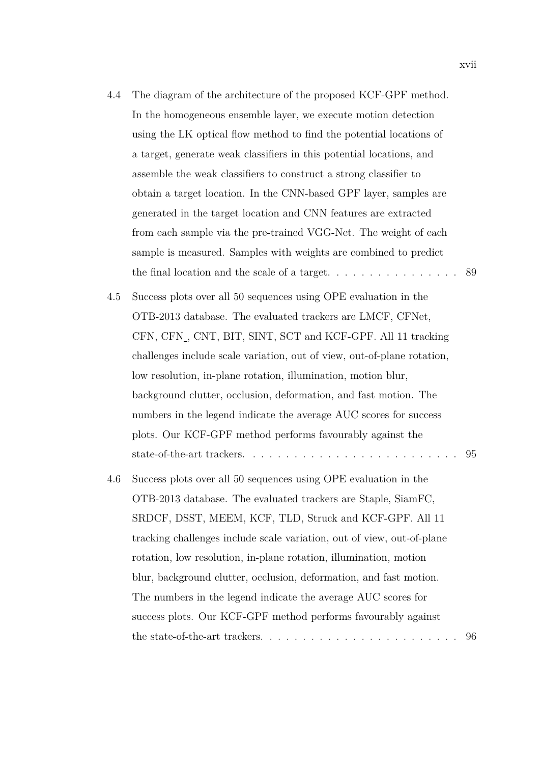- 4.4 The diagram of the architecture of the proposed KCF-GPF method. In the homogeneous ensemble layer, we execute motion detection using the LK optical fow method to fnd the potential locations of a target, generate weak classifers in this potential locations, and assemble the weak classifers to construct a strong classifer to obtain a target location. In the CNN-based GPF layer, samples are generated in the target location and CNN features are extracted from each sample via the pre-trained VGG-Net. The weight of each sample is measured. Samples with weights are combined to predict the final location and the scale of a target.  $\dots \dots \dots \dots \dots \dots$  . . . . . . . . . 89
- 4.5 Success plots over all 50 sequences using OPE evaluation in the OTB-2013 database. The evaluated trackers are LMCF, CFNet, CFN, CFN<sub>,</sub> CNT, BIT, SINT, SCT and KCF-GPF. All 11 tracking challenges include scale variation, out of view, out-of-plane rotation, low resolution, in-plane rotation, illumination, motion blur, background clutter, occlusion, deformation, and fast motion. The numbers in the legend indicate the average AUC scores for success plots. Our KCF-GPF method performs favourably against the state-of-the-art trackers. . . . . . . . . . . . . . . . . . . . . . . . . . 95
- 4.6 Success plots over all 50 sequences using OPE evaluation in the OTB-2013 database. The evaluated trackers are Staple, SiamFC, SRDCF, DSST, MEEM, KCF, TLD, Struck and KCF-GPF. All 11 tracking challenges include scale variation, out of view, out-of-plane rotation, low resolution, in-plane rotation, illumination, motion blur, background clutter, occlusion, deformation, and fast motion. The numbers in the legend indicate the average AUC scores for success plots. Our KCF-GPF method performs favourably against the state-of-the-art trackers. . . . . . . . . . . . . . . . . . . . . . . . 96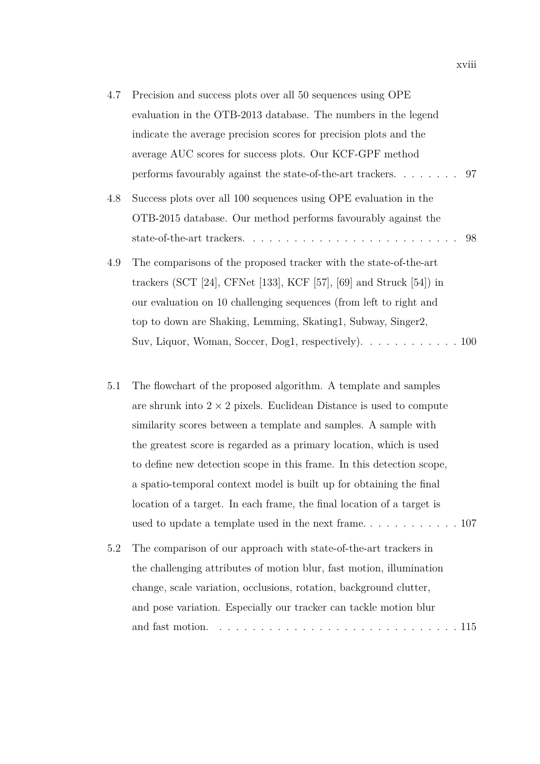| 4.7 | Precision and success plots over all 50 sequences using OPE                                  |  |
|-----|----------------------------------------------------------------------------------------------|--|
|     | evaluation in the OTB-2013 database. The numbers in the legend                               |  |
|     | indicate the average precision scores for precision plots and the                            |  |
|     | average AUC scores for success plots. Our KCF-GPF method                                     |  |
|     |                                                                                              |  |
| 4.8 | Success plots over all 100 sequences using OPE evaluation in the                             |  |
|     | OTB-2015 database. Our method performs favourably against the                                |  |
|     |                                                                                              |  |
| 4.9 | The comparisons of the proposed tracker with the state-of-the-art                            |  |
|     | trackers (SCT $[24]$ , CFNet $[133]$ , KCF $[57]$ , $[69]$ and Struck $[54]$ ) in            |  |
|     | our evaluation on 10 challenging sequences (from left to right and                           |  |
|     | top to down are Shaking, Lemming, Skating1, Subway, Singer2,                                 |  |
|     | Suv, Liquor, Woman, Soccer, Dog1, respectively). $\dots \dots \dots \dots \dots \dots \dots$ |  |

- 5.1 The fowchart of the proposed algorithm. A template and samples are shrunk into  $2 \times 2$  pixels. Euclidean Distance is used to compute similarity scores between a template and samples. A sample with the greatest score is regarded as a primary location, which is used to defne new detection scope in this frame. In this detection scope, a spatio-temporal context model is built up for obtaining the fnal location of a target. In each frame, the fnal location of a target is used to update a template used in the next frame. . . . . . . . . . . . 107 5.2 The comparison of our approach with state-of-the-art trackers in
- the challenging attributes of motion blur, fast motion, illumination change, scale variation, occlusions, rotation, background clutter, and pose variation. Especially our tracker can tackle motion blur and fast motion. . . . . . . . . . . . . . . . . . . . . . . . . . . . . . 115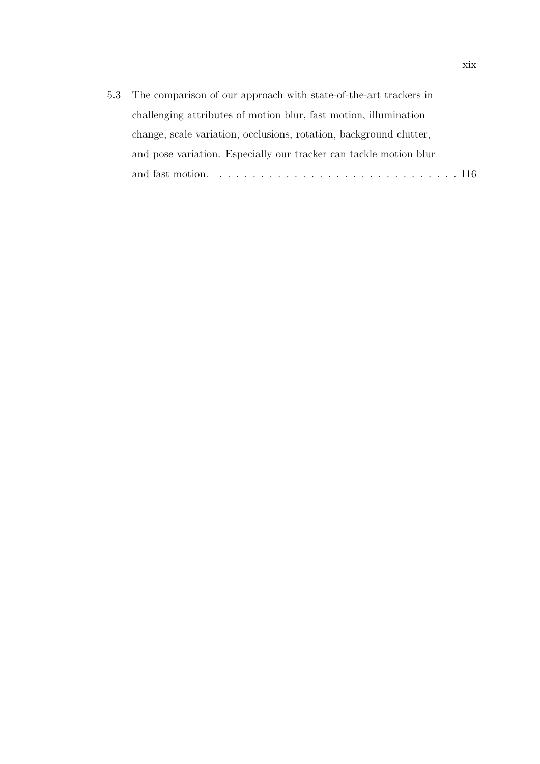| 5.3 The comparison of our approach with state-of-the-art trackers in |
|----------------------------------------------------------------------|
| challenging attributes of motion blur, fast motion, illumination     |
| change, scale variation, occlusions, rotation, background clutter,   |
| and pose variation. Especially our tracker can tackle motion blur    |
|                                                                      |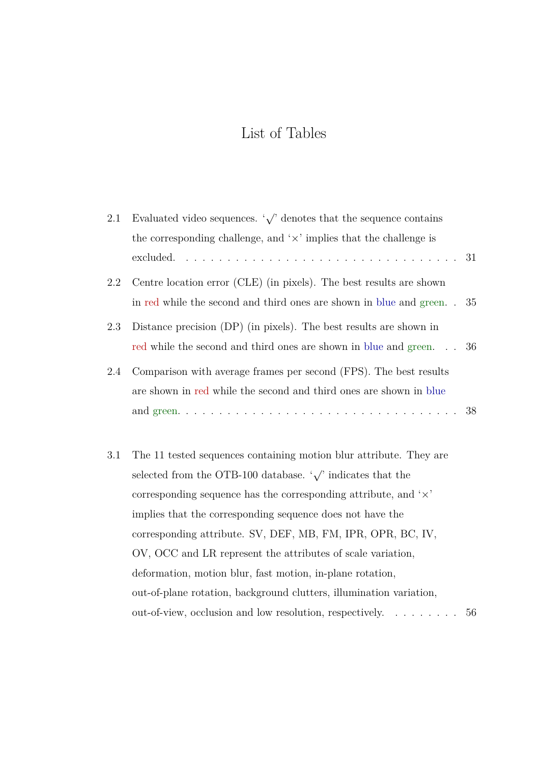# List of Tables

| 2.1 | Evaluated video sequences. $\sqrt{\ }$ denotes that the sequence contains  |    |
|-----|----------------------------------------------------------------------------|----|
|     | the corresponding challenge, and $\forall x$ implies that the challenge is |    |
|     |                                                                            | 31 |
| 2.2 | Centre location error (CLE) (in pixels). The best results are shown        |    |
|     | in red while the second and third ones are shown in blue and green         | 35 |
| 2.3 | Distance precision (DP) (in pixels). The best results are shown in         |    |
|     | red while the second and third ones are shown in blue and green            | 36 |
| 2.4 | Comparison with average frames per second (FPS). The best results          |    |
|     | are shown in red while the second and third ones are shown in blue         |    |
|     |                                                                            | 38 |
|     |                                                                            |    |
| 3.1 | The 11 tested sequences containing motion blur attribute. They are         |    |
|     | selected from the OTB-100 database. $\sqrt{\ }$ indicates that the         |    |
|     | corresponding sequence has the corresponding attribute, and $\forall x$    |    |
|     | implies that the corresponding sequence does not have the                  |    |
|     | corresponding attribute. SV, DEF, MB, FM, IPR, OPR, BC, IV,                |    |
|     | OV, OCC and LR represent the attributes of scale variation,                |    |
|     | deformation, motion blur, fast motion, in-plane rotation,                  |    |
|     | out-of-plane rotation, background clutters, illumination variation,        |    |
|     | out-of-view, occlusion and low resolution, respectively.                   | 56 |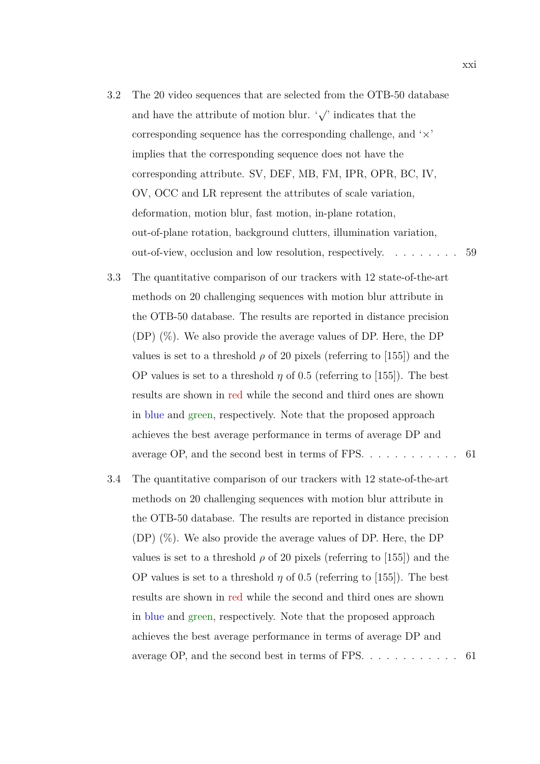- 3.2 The 20 video sequences that are selected from the OTB-50 database and have the attribute of motion blur.  $\sqrt{\ }$  indicates that the corresponding sequence has the corresponding challenge, and '*×*' implies that the corresponding sequence does not have the corresponding attribute. SV, DEF, MB, FM, IPR, OPR, BC, IV, OV, OCC and LR represent the attributes of scale variation, deformation, motion blur, fast motion, in-plane rotation, out-of-plane rotation, background clutters, illumination variation, out-of-view, occlusion and low resolution, respectively. . . . . . . . . 59
- 3.3 The quantitative comparison of our trackers with 12 state-of-the-art methods on 20 challenging sequences with motion blur attribute in the OTB-50 database. The results are reported in distance precision  $(DP)$   $(\%)$ . We also provide the average values of DP. Here, the DP values is set to a threshold  $\rho$  of 20 pixels (referring to [155]) and the OP values is set to a threshold  $\eta$  of 0.5 (referring to [155]). The best results are shown in red while the second and third ones are shown in blue and green, respectively. Note that the proposed approach achieves the best average performance in terms of average DP and average OP, and the second best in terms of FPS. . . . . . . . . . . . 61
- 3.4 The quantitative comparison of our trackers with 12 state-of-the-art methods on 20 challenging sequences with motion blur attribute in the OTB-50 database. The results are reported in distance precision (DP) (%). We also provide the average values of DP. Here, the DP values is set to a threshold  $\rho$  of 20 pixels (referring to [155]) and the OP values is set to a threshold  $\eta$  of 0.5 (referring to [155]). The best results are shown in red while the second and third ones are shown in blue and green, respectively. Note that the proposed approach achieves the best average performance in terms of average DP and average OP, and the second best in terms of FPS. . . . . . . . . . . . 61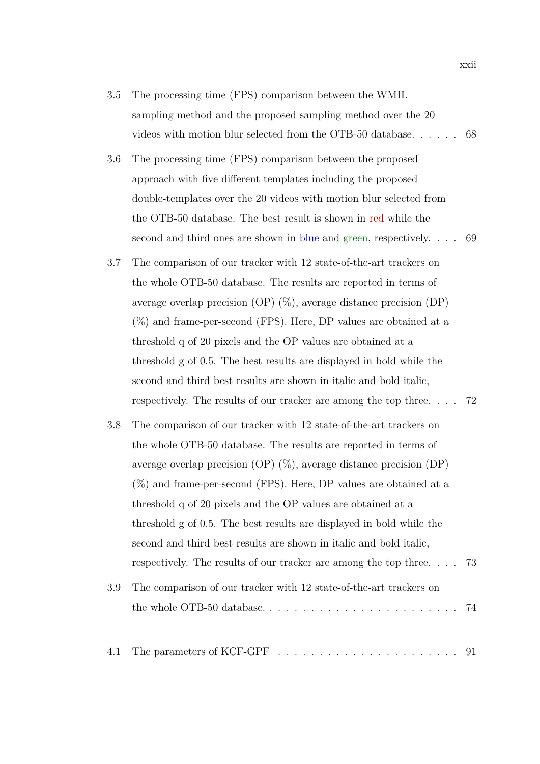- 3.5 The processing time (FPS) comparison between the WMIL sampling method and the proposed sampling method over the 20 videos with motion blur selected from the OTB-50 database. . . . . . 68
- 3.6 The processing time (FPS) comparison between the proposed approach with fve diferent templates including the proposed double-templates over the 20 videos with motion blur selected from the OTB-50 database. The best result is shown in red while the second and third ones are shown in blue and green, respectively. . . . 69
- 3.7 The comparison of our tracker with 12 state-of-the-art trackers on the whole OTB-50 database. The results are reported in terms of average overlap precision (OP)  $(\%)$ , average distance precision (DP)  $(\%)$  and frame-per-second (FPS). Here, DP values are obtained at a threshold q of 20 pixels and the OP values are obtained at a threshold g of 0*.*5. The best results are displayed in bold while the second and third best results are shown in italic and bold italic, respectively. The results of our tracker are among the top three. . . . 72
- 3.8 The comparison of our tracker with 12 state-of-the-art trackers on the whole OTB-50 database. The results are reported in terms of average overlap precision (OP) (%), average distance precision (DP)  $(\%)$  and frame-per-second (FPS). Here, DP values are obtained at a threshold q of 20 pixels and the OP values are obtained at a threshold g of 0*.*5. The best results are displayed in bold while the second and third best results are shown in italic and bold italic, respectively. The results of our tracker are among the top three. . . . 73 3.9 The comparison of our tracker with 12 state-of-the-art trackers on the whole OTB-50 database. . . . . . . . . . . . . . . . . . . . . . . . 74
- 4.1 The parameters of KCF-GPF . . . . . . . . . . . . . . . . . . . . . . 91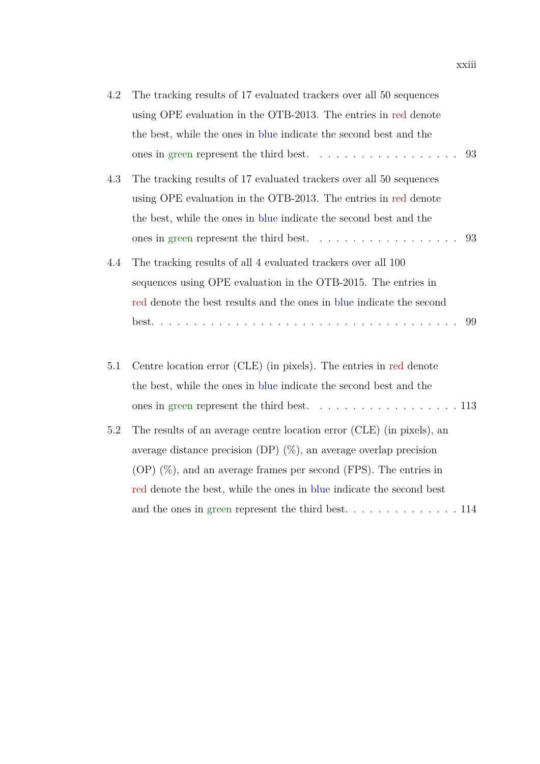| 4.2 | The tracking results of 17 evaluated trackers over all 50 sequences                     |
|-----|-----------------------------------------------------------------------------------------|
|     | using OPE evaluation in the OTB-2013. The entries in red denote                         |
|     | the best, while the ones in blue indicate the second best and the                       |
|     | ones in green represent the third best. $\ldots \ldots \ldots \ldots \ldots$<br>93      |
| 4.3 | The tracking results of 17 evaluated trackers over all 50 sequences                     |
|     | using OPE evaluation in the OTB-2013. The entries in red denote                         |
|     | the best, while the ones in blue indicate the second best and the                       |
|     | ones in green represent the third best. $\ldots \ldots \ldots \ldots \ldots$<br>93      |
| 4.4 | The tracking results of all 4 evaluated trackers over all 100                           |
|     | sequences using OPE evaluation in the OTB-2015. The entries in                          |
|     | red denote the best results and the ones in blue indicate the second                    |
|     | 99                                                                                      |
| 5.1 | Centre location error (CLE) (in pixels). The entries in red denote                      |
|     | the best, while the ones in blue indicate the second best and the                       |
|     |                                                                                         |
|     | ones in green represent the third best. $\ldots \ldots \ldots \ldots \ldots \ldots 113$ |
| 5.2 | The results of an average centre location error (CLE) (in pixels), an                   |
|     | average distance precision (DP) $(\%)$ , an average overlap precision                   |
|     | $(OP)$ $(\%)$ , and an average frames per second (FPS). The entries in                  |
|     | red denote the best, while the ones in blue indicate the second best                    |
|     |                                                                                         |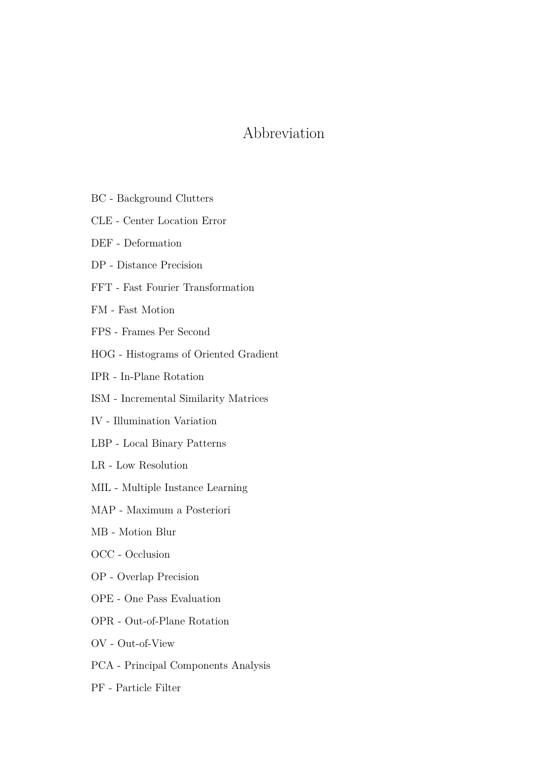## Abbreviation

- BC Background Clutters
- CLE Center Location Error
- DEF Deformation
- DP Distance Precision
- FFT Fast Fourier Transformation
- FM Fast Motion
- FPS Frames Per Second
- HOG Histograms of Oriented Gradient
- IPR In-Plane Rotation
- ISM Incremental Similarity Matrices
- IV Illumination Variation
- LBP Local Binary Patterns
- LR Low Resolution
- MIL Multiple Instance Learning
- MAP Maximum a Posteriori
- MB Motion Blur
- OCC Occlusion
- OP Overlap Precision
- OPE One Pass Evaluation
- OPR Out-of-Plane Rotation
- OV Out-of-View
- PCA Principal Components Analysis
- PF Particle Filter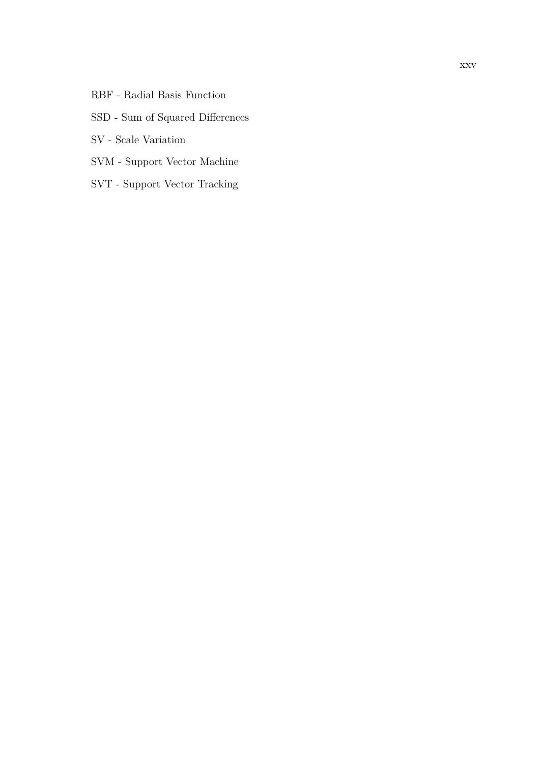RBF - Radial Basis Function

#### SSD - Sum of Squared Diferences

- SV Scale Variation
- SVM Support Vector Machine
- SVT Support Vector Tracking